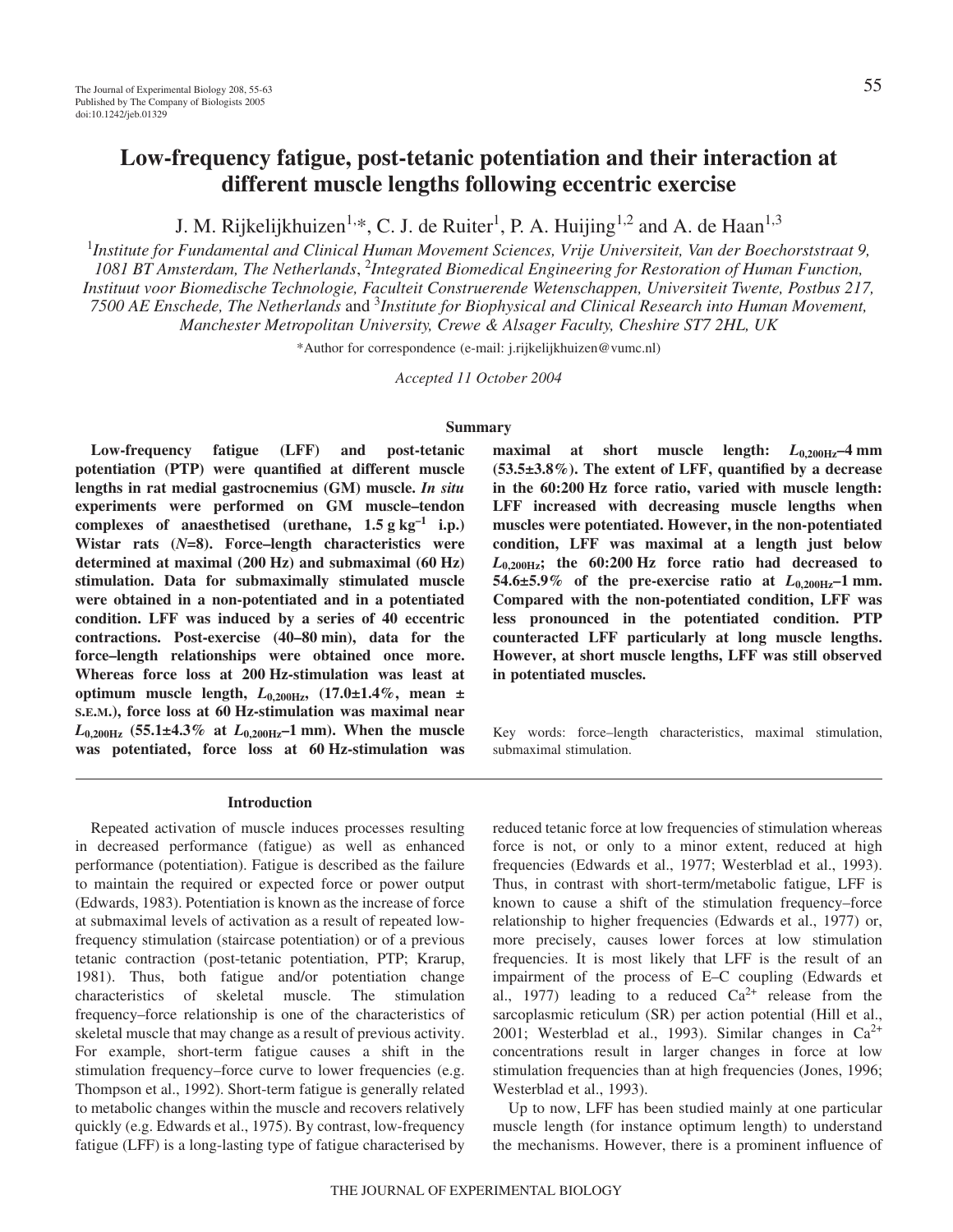# **Low-frequency fatigue, post-tetanic potentiation and their interaction at different muscle lengths following eccentric exercise**

J. M. Rijkelijkhuizen<sup>1,\*</sup>, C. J. de Ruiter<sup>1</sup>, P. A. Huijing<sup>1,2</sup> and A. de Haan<sup>1,3</sup>

1 *Institute for Fundamental and Clinical Human Movement Sciences, Vrije Universiteit, Van der Boechorststraat 9, 1081 BT Amsterdam, The Netherlands*, <sup>2</sup> *Integrated Biomedical Engineering for Restoration of Human Function, Instituut voor Biomedische Technologie, Faculteit Construerende Wetenschappen, Universiteit Twente, Postbus 217, 7500 AE Enschede, The Netherlands* and 3 *Institute for Biophysical and Clinical Research into Human Movement, Manchester Metropolitan University, Crewe & Alsager Faculty, Cheshire ST7 2HL, UK*

\*Author for correspondence (e-mail: j.rijkelijkhuizen@vumc.nl)

*Accepted 11 October 2004*

# **Summary**

**Low-frequency fatigue (LFF) and post-tetanic potentiation (PTP) were quantified at different muscle lengths in rat medial gastrocnemius (GM) muscle.** *In situ* **experiments were performed on GM muscle–tendon** complexes of anaesthetised (urethane,  $1.5 g kg^{-1}$  *i.p.)* **Wistar rats (***N***=8). Force–length characteristics were** determined at maximal (200 Hz) and submaximal (60 Hz) **stimulation. Data for submaximally stimulated muscle were obtained in a non-potentiated and in a potentiated condition. LFF was induced by a series of 40 eccentric** contractions. Post-exercise (40–80 min), data for the **force–length relationships were obtained once more.** Whereas force loss at 200 Hz-stimulation was least at **optimum muscle length,** *L***0,200Hz, (17.0±1.4%, mean ±** S.E.M.), force loss at 60 Hz-stimulation was maximal near  $L_{0,200\text{Hz}}$  (55.1±4.3% at  $L_{0,200\text{Hz}}$ –1 mm). When the muscle was potentiated, force loss at 60 Hz-stimulation was

**maximal at short muscle length:**  $L_{0.200\text{Hz}}$ –4 mm **(53.5±3.8%). The extent of LFF, quantified by a decrease** in the 60:200 Hz force ratio, varied with muscle length: **LFF increased with decreasing muscle lengths when muscles were potentiated. However, in the non-potentiated condition, LFF was maximal at a length just below**  $L_{0,200\text{Hz}}$ ; the  $60:200\text{Hz}$  force ratio had decreased to **54.6±5.9%** of the pre-exercise ratio at  $L_{0.200\text{Hz}}$ -1 mm. **Compared with the non-potentiated condition, LFF was less pronounced in the potentiated condition. PTP counteracted LFF particularly at long muscle lengths. However, at short muscle lengths, LFF was still observed in potentiated muscles.**

Key words: force–length characteristics, maximal stimulation, submaximal stimulation.

#### **Introduction**

Repeated activation of muscle induces processes resulting in decreased performance (fatigue) as well as enhanced performance (potentiation). Fatigue is described as the failure to maintain the required or expected force or power output (Edwards, 1983). Potentiation is known as the increase of force at submaximal levels of activation as a result of repeated lowfrequency stimulation (staircase potentiation) or of a previous tetanic contraction (post-tetanic potentiation, PTP; Krarup, 1981). Thus, both fatigue and/or potentiation change characteristics of skeletal muscle. The stimulation frequency–force relationship is one of the characteristics of skeletal muscle that may change as a result of previous activity. For example, short-term fatigue causes a shift in the stimulation frequency–force curve to lower frequencies (e.g. Thompson et al., 1992). Short-term fatigue is generally related to metabolic changes within the muscle and recovers relatively quickly (e.g. Edwards et al., 1975). By contrast, low-frequency fatigue (LFF) is a long-lasting type of fatigue characterised by

reduced tetanic force at low frequencies of stimulation whereas force is not, or only to a minor extent, reduced at high frequencies (Edwards et al., 1977; Westerblad et al., 1993). Thus, in contrast with short-term/metabolic fatigue, LFF is known to cause a shift of the stimulation frequency–force relationship to higher frequencies (Edwards et al., 1977) or, more precisely, causes lower forces at low stimulation frequencies. It is most likely that LFF is the result of an impairment of the process of E–C coupling (Edwards et al., 1977) leading to a reduced  $Ca^{2+}$  release from the sarcoplasmic reticulum (SR) per action potential (Hill et al., 2001; Westerblad et al., 1993). Similar changes in  $Ca^{2+}$ concentrations result in larger changes in force at low stimulation frequencies than at high frequencies (Jones, 1996; Westerblad et al., 1993).

Up to now, LFF has been studied mainly at one particular muscle length (for instance optimum length) to understand the mechanisms. However, there is a prominent influence of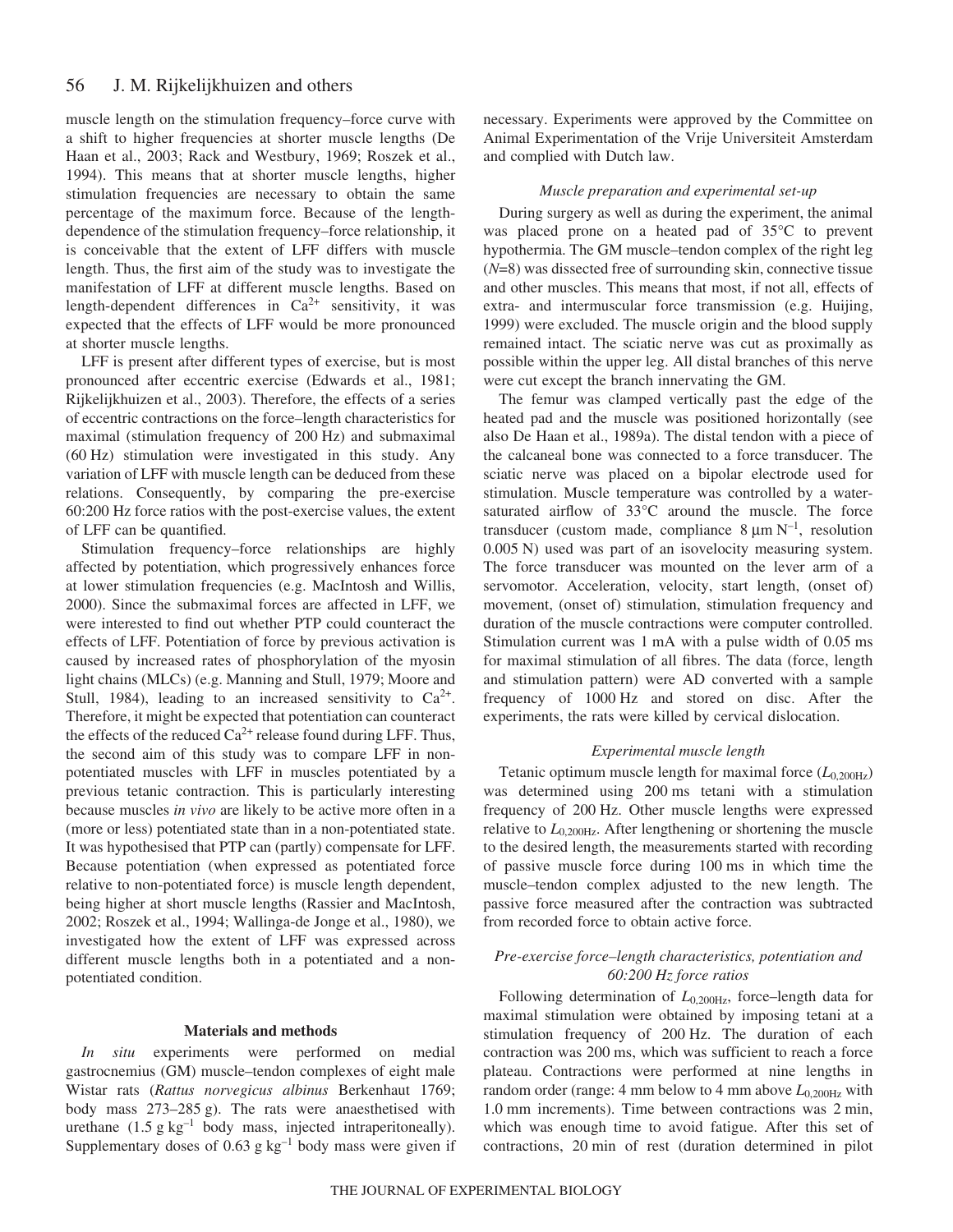#### 56 J. M. Rijkelijkhuizen and others

muscle length on the stimulation frequency–force curve with a shift to higher frequencies at shorter muscle lengths (De Haan et al., 2003; Rack and Westbury, 1969; Roszek et al., 1994). This means that at shorter muscle lengths, higher stimulation frequencies are necessary to obtain the same percentage of the maximum force. Because of the lengthdependence of the stimulation frequency–force relationship, it is conceivable that the extent of LFF differs with muscle length. Thus, the first aim of the study was to investigate the manifestation of LFF at different muscle lengths. Based on length-dependent differences in  $Ca^{2+}$  sensitivity, it was expected that the effects of LFF would be more pronounced at shorter muscle lengths.

LFF is present after different types of exercise, but is most pronounced after eccentric exercise (Edwards et al., 1981; Rijkelijkhuizen et al., 2003). Therefore, the effects of a series of eccentric contractions on the force–length characteristics for maximal (stimulation frequency of 200 Hz) and submaximal  $(60 Hz)$  stimulation were investigated in this study. Any variation of LFF with muscle length can be deduced from these relations. Consequently, by comparing the pre-exercise 60:200 Hz force ratios with the post-exercise values, the extent of LFF can be quantified.

Stimulation frequency–force relationships are highly affected by potentiation, which progressively enhances force at lower stimulation frequencies (e.g. MacIntosh and Willis, 2000). Since the submaximal forces are affected in LFF, we were interested to find out whether PTP could counteract the effects of LFF. Potentiation of force by previous activation is caused by increased rates of phosphorylation of the myosin light chains (MLCs) (e.g. Manning and Stull, 1979; Moore and Stull, 1984), leading to an increased sensitivity to  $Ca^{2+}$ . Therefore, it might be expected that potentiation can counteract the effects of the reduced  $Ca^{2+}$  release found during LFF. Thus, the second aim of this study was to compare LFF in nonpotentiated muscles with LFF in muscles potentiated by a previous tetanic contraction. This is particularly interesting because muscles *in vivo* are likely to be active more often in a (more or less) potentiated state than in a non-potentiated state. It was hypothesised that PTP can (partly) compensate for LFF. Because potentiation (when expressed as potentiated force relative to non-potentiated force) is muscle length dependent, being higher at short muscle lengths (Rassier and MacIntosh, 2002; Roszek et al., 1994; Wallinga-de Jonge et al., 1980), we investigated how the extent of LFF was expressed across different muscle lengths both in a potentiated and a nonpotentiated condition.

#### **Materials and methods**

*In situ* experiments were performed on medial gastrocnemius (GM) muscle–tendon complexes of eight male Wistar rats (*Rattus norvegicus albinus* Berkenhaut 1769; body mass 273–285 g). The rats were anaesthetised with urethane  $(1.5 g kg<sup>-1</sup> body mass, injected intraperitoneally).$ Supplementary doses of 0.63  $g kg^{-1}$  body mass were given if necessary. Experiments were approved by the Committee on Animal Experimentation of the Vrije Universiteit Amsterdam and complied with Dutch law.

#### *Muscle preparation and experimental set-up*

During surgery as well as during the experiment, the animal was placed prone on a heated pad of 35°C to prevent hypothermia. The GM muscle–tendon complex of the right leg (*N*=8) was dissected free of surrounding skin, connective tissue and other muscles. This means that most, if not all, effects of extra- and intermuscular force transmission (e.g. Huijing, 1999) were excluded. The muscle origin and the blood supply remained intact. The sciatic nerve was cut as proximally as possible within the upper leg. All distal branches of this nerve were cut except the branch innervating the GM.

The femur was clamped vertically past the edge of the heated pad and the muscle was positioned horizontally (see also De Haan et al., 1989a). The distal tendon with a piece of the calcaneal bone was connected to a force transducer. The sciatic nerve was placed on a bipolar electrode used for stimulation. Muscle temperature was controlled by a watersaturated airflow of 33°C around the muscle. The force transducer (custom made, compliance  $8 \mu m N^{-1}$ , resolution 0.005 N) used was part of an isovelocity measuring system. The force transducer was mounted on the lever arm of a servomotor. Acceleration, velocity, start length, (onset of) movement, (onset of) stimulation, stimulation frequency and duration of the muscle contractions were computer controlled. Stimulation current was 1 mA with a pulse width of 0.05 ms for maximal stimulation of all fibres. The data (force, length and stimulation pattern) were AD converted with a sample frequency of 1000 Hz and stored on disc. After the experiments, the rats were killed by cervical dislocation.

# *Experimental muscle length*

Tetanic optimum muscle length for maximal force  $(L_{0.200Hz})$ was determined using 200 ms tetani with a stimulation frequency of 200 Hz. Other muscle lengths were expressed relative to  $L_{0,200\text{Hz}}$ . After lengthening or shortening the muscle to the desired length, the measurements started with recording of passive muscle force during 100 ms in which time the muscle–tendon complex adjusted to the new length. The passive force measured after the contraction was subtracted from recorded force to obtain active force.

# *Pre-exercise force–length characteristics, potentiation and 60:200·Hz force ratios*

Following determination of *L*0,200Hz, force–length data for maximal stimulation were obtained by imposing tetani at a stimulation frequency of 200 Hz. The duration of each contraction was 200 ms, which was sufficient to reach a force plateau. Contractions were performed at nine lengths in random order (range: 4 mm below to 4 mm above  $L_{0,200\text{Hz}}$  with 1.0 mm increments). Time between contractions was 2 min, which was enough time to avoid fatigue. After this set of contractions, 20 min of rest (duration determined in pilot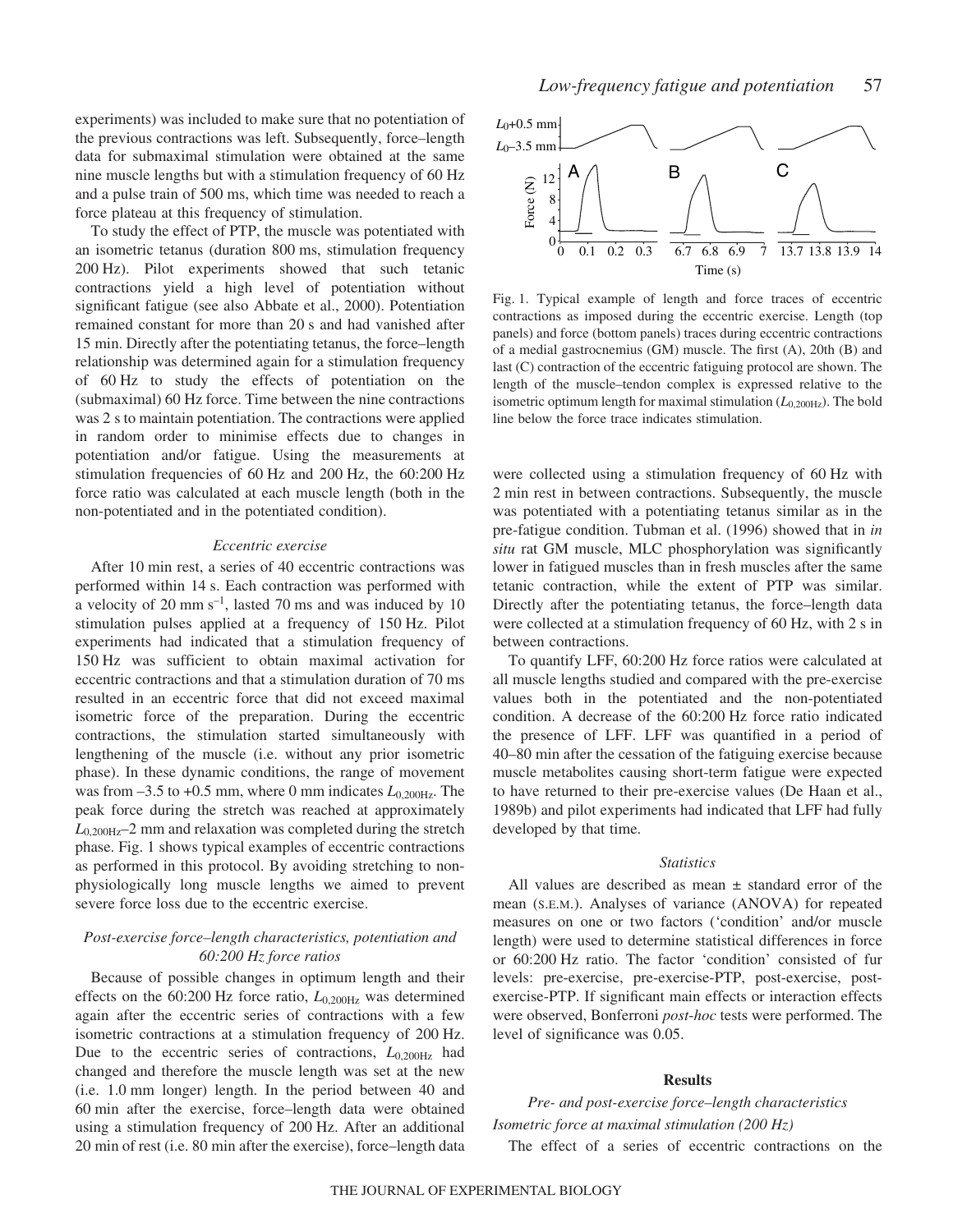experiments) was included to make sure that no potentiation of the previous contractions was left. Subsequently, force–length data for submaximal stimulation were obtained at the same nine muscle lengths but with a stimulation frequency of 60 Hz and a pulse train of 500 ms, which time was needed to reach a force plateau at this frequency of stimulation.

To study the effect of PTP, the muscle was potentiated with an isometric tetanus (duration 800 ms, stimulation frequency 200 Hz). Pilot experiments showed that such tetanic contractions yield a high level of potentiation without significant fatigue (see also Abbate et al., 2000). Potentiation remained constant for more than 20 s and had vanished after 15 min. Directly after the potentiating tetanus, the force–length relationship was determined again for a stimulation frequency of 60 Hz to study the effects of potentiation on the (submaximal) 60 Hz force. Time between the nine contractions was 2 s to maintain potentiation. The contractions were applied in random order to minimise effects due to changes in potentiation and/or fatigue. Using the measurements at stimulation frequencies of  $60~\text{Hz}$  and  $200~\text{Hz}$ , the  $60:200~\text{Hz}$ force ratio was calculated at each muscle length (both in the non-potentiated and in the potentiated condition).

### *Eccentric exercise*

After 10 min rest, a series of 40 eccentric contractions was performed within 14 s. Each contraction was performed with a velocity of 20 mm  $s^{-1}$ , lasted 70 ms and was induced by 10 stimulation pulses applied at a frequency of 150 Hz. Pilot experiments had indicated that a stimulation frequency of 150 Hz was sufficient to obtain maximal activation for eccentric contractions and that a stimulation duration of 70 ms resulted in an eccentric force that did not exceed maximal isometric force of the preparation. During the eccentric contractions, the stimulation started simultaneously with lengthening of the muscle (i.e. without any prior isometric phase). In these dynamic conditions, the range of movement was from  $-3.5$  to  $+0.5$  mm, where 0 mm indicates  $L_{0,200\text{Hz}}$ . The peak force during the stretch was reached at approximately  $L_{0,200\text{Hz}}$ –2 mm and relaxation was completed during the stretch phase. Fig. 1 shows typical examples of eccentric contractions as performed in this protocol. By avoiding stretching to nonphysiologically long muscle lengths we aimed to prevent severe force loss due to the eccentric exercise.

# *Post-exercise force–length characteristics, potentiation and 60:200·Hz force ratios*

Because of possible changes in optimum length and their effects on the 60:200 Hz force ratio,  $L_{0,200\text{Hz}}$  was determined again after the eccentric series of contractions with a few isometric contractions at a stimulation frequency of 200 Hz. Due to the eccentric series of contractions, *L*0,200Hz had changed and therefore the muscle length was set at the new (i.e. 1.0 mm longer) length. In the period between 40 and 60 min after the exercise, force–length data were obtained using a stimulation frequency of 200 Hz. After an additional 20 min of rest (i.e. 80 min after the exercise), force–length data



Fig. 1. Typical example of length and force traces of eccentric contractions as imposed during the eccentric exercise. Length (top panels) and force (bottom panels) traces during eccentric contractions of a medial gastrocnemius (GM) muscle. The first (A), 20th (B) and last (C) contraction of the eccentric fatiguing protocol are shown. The length of the muscle–tendon complex is expressed relative to the isometric optimum length for maximal stimulation  $(L_{0,200\text{Hz}})$ . The bold line below the force trace indicates stimulation.

were collected using a stimulation frequency of 60 Hz with 2 min rest in between contractions. Subsequently, the muscle was potentiated with a potentiating tetanus similar as in the pre-fatigue condition. Tubman et al. (1996) showed that in *in situ* rat GM muscle, MLC phosphorylation was significantly lower in fatigued muscles than in fresh muscles after the same tetanic contraction, while the extent of PTP was similar. Directly after the potentiating tetanus, the force–length data were collected at a stimulation frequency of 60 Hz, with 2 s in between contractions.

To quantify LFF, 60:200 Hz force ratios were calculated at all muscle lengths studied and compared with the pre-exercise values both in the potentiated and the non-potentiated condition. A decrease of the 60:200 Hz force ratio indicated the presence of LFF. LFF was quantified in a period of 40–80 min after the cessation of the fatiguing exercise because muscle metabolites causing short-term fatigue were expected to have returned to their pre-exercise values (De Haan et al., 1989b) and pilot experiments had indicated that LFF had fully developed by that time.

#### *Statistics*

All values are described as mean  $\pm$  standard error of the mean (S.E.M.). Analyses of variance (ANOVA) for repeated measures on one or two factors ('condition' and/or muscle length) were used to determine statistical differences in force or 60:200 Hz ratio. The factor 'condition' consisted of fur levels: pre-exercise, pre-exercise-PTP, post-exercise, postexercise-PTP. If significant main effects or interaction effects were observed, Bonferroni *post*-*hoc* tests were performed. The level of significance was 0.05.

#### **Results**

*Pre- and post-exercise force–length characteristics Isometric force at maximal stimulation (200 Hz)* 

The effect of a series of eccentric contractions on the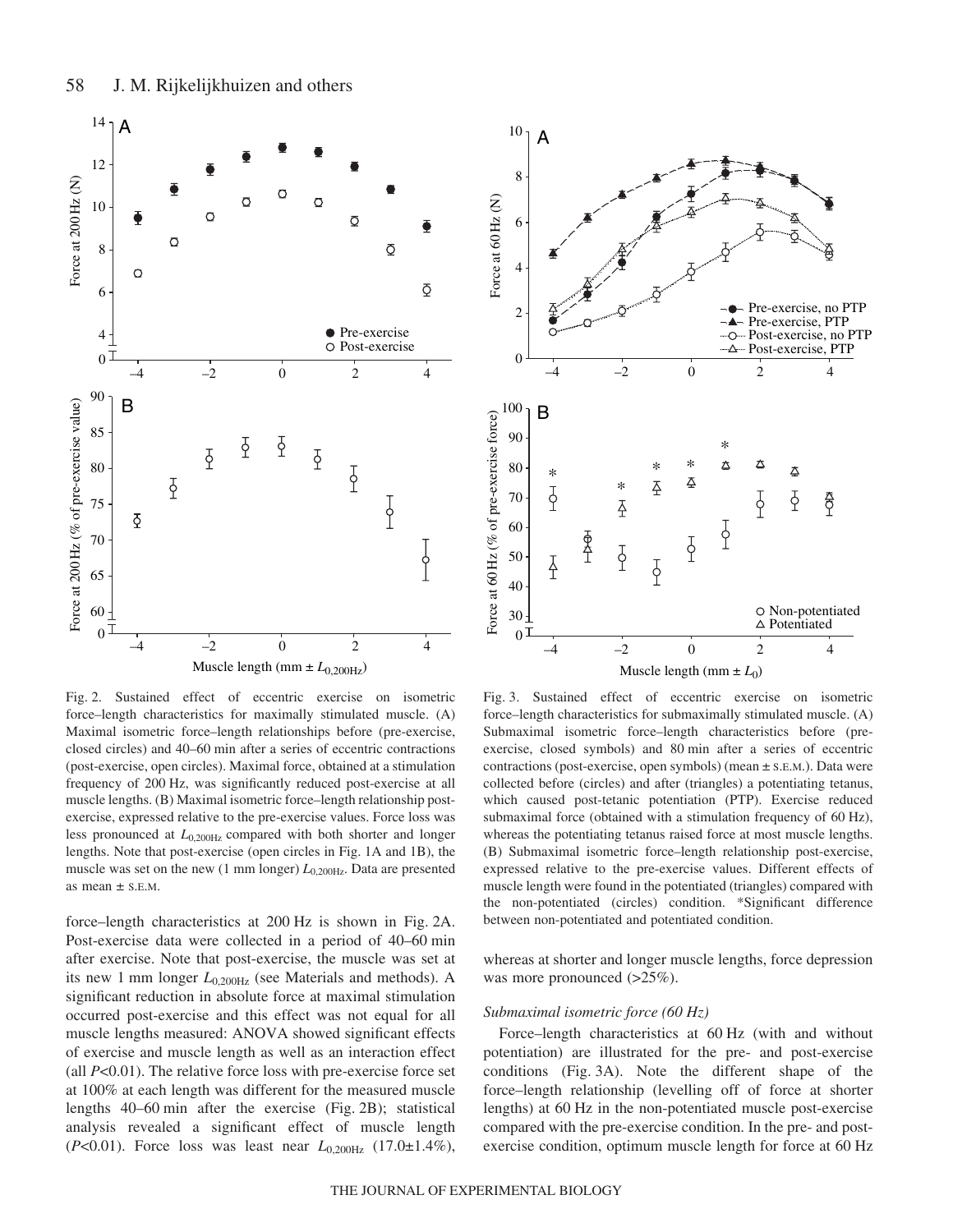

Fig. 2. Sustained effect of eccentric exercise on isometric force–length characteristics for maximally stimulated muscle. (A) Maximal isometric force–length relationships before (pre-exercise, closed circles) and 40–60 min after a series of eccentric contractions (post-exercise, open circles). Maximal force, obtained at a stimulation frequency of 200 Hz, was significantly reduced post-exercise at all muscle lengths. (B) Maximal isometric force–length relationship postexercise, expressed relative to the pre-exercise values. Force loss was less pronounced at *L*0,200Hz compared with both shorter and longer lengths. Note that post-exercise (open circles in Fig. 1A and 1B), the muscle was set on the new (1 mm longer)  $L_{0.200\text{Hz}}$ . Data are presented as mean  $\pm$  S.E.M.

force–length characteristics at 200 Hz is shown in Fig. 2A. Post-exercise data were collected in a period of 40–60 min after exercise. Note that post-exercise, the muscle was set at its new 1 mm longer  $L_{0.200Hz}$  (see Materials and methods). A significant reduction in absolute force at maximal stimulation occurred post-exercise and this effect was not equal for all muscle lengths measured: ANOVA showed significant effects of exercise and muscle length as well as an interaction effect (all *P*<0.01). The relative force loss with pre-exercise force set at 100% at each length was different for the measured muscle lengths  $40-60$  min after the exercise (Fig. 2B); statistical analysis revealed a significant effect of muscle length (*P*<0.01). Force loss was least near *L*0,200Hz (17.0±1.4%),



Fig. 3. Sustained effect of eccentric exercise on isometric force–length characteristics for submaximally stimulated muscle. (A) Submaximal isometric force–length characteristics before (preexercise, closed symbols) and 80 min after a series of eccentric contractions (post-exercise, open symbols) (mean ± S.E.M.). Data were collected before (circles) and after (triangles) a potentiating tetanus, which caused post-tetanic potentiation (PTP). Exercise reduced submaximal force (obtained with a stimulation frequency of 60 Hz), whereas the potentiating tetanus raised force at most muscle lengths. (B) Submaximal isometric force–length relationship post-exercise, expressed relative to the pre-exercise values. Different effects of muscle length were found in the potentiated (triangles) compared with the non-potentiated (circles) condition. \*Significant difference between non-potentiated and potentiated condition.

whereas at shorter and longer muscle lengths, force depression was more pronounced (>25%).

### *Submaximal isometric force* (60 Hz)

Force–length characteristics at 60 Hz (with and without potentiation) are illustrated for the pre- and post-exercise conditions (Fig. 3A). Note the different shape of the force–length relationship (levelling off of force at shorter lengths) at 60 Hz in the non-potentiated muscle post-exercise compared with the pre-exercise condition. In the pre- and postexercise condition, optimum muscle length for force at 60 Hz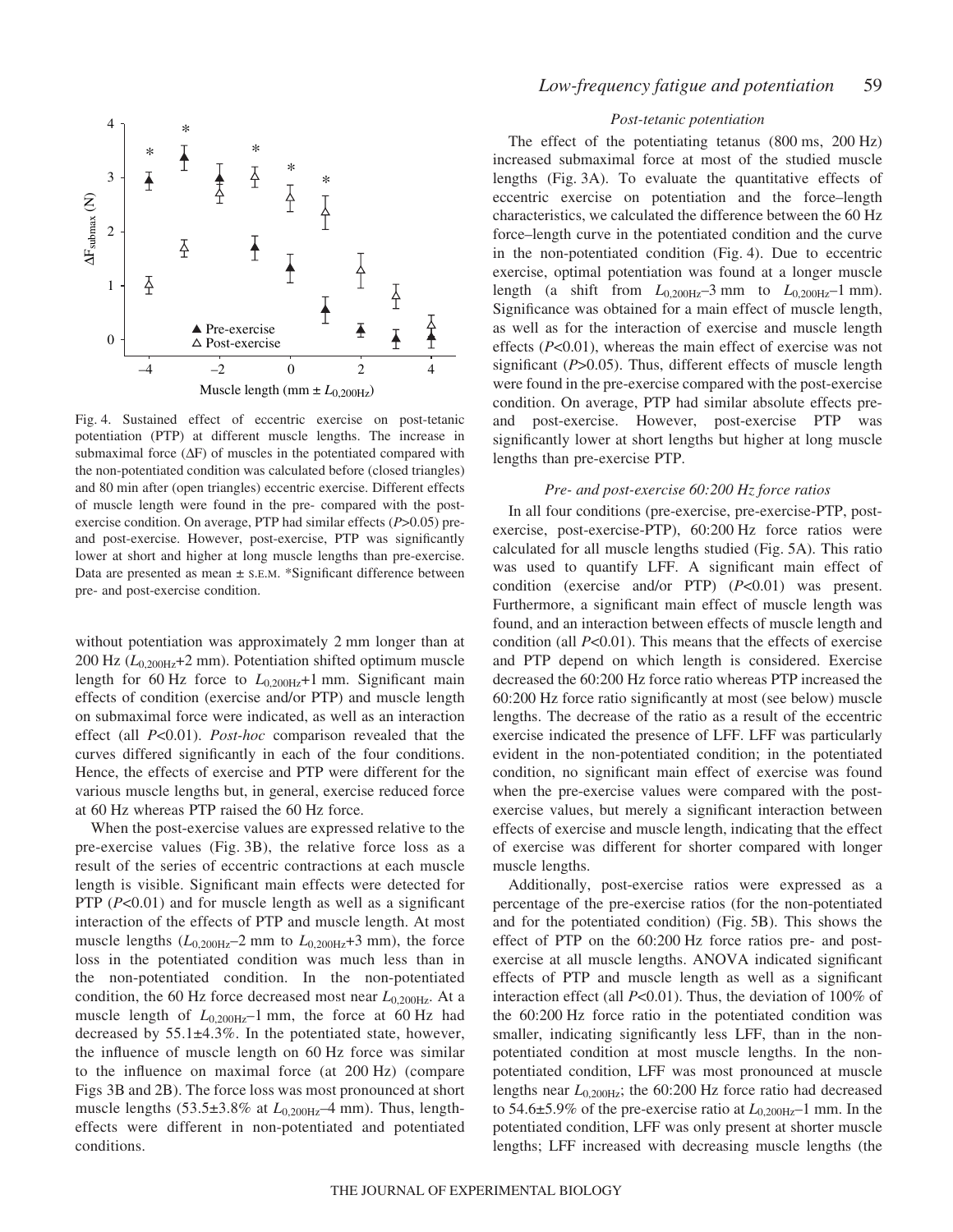

Fig. 4. Sustained effect of eccentric exercise on post-tetanic potentiation (PTP) at different muscle lengths. The increase in submaximal force (∆F) of muscles in the potentiated compared with the non-potentiated condition was calculated before (closed triangles) and 80 min after (open triangles) eccentric exercise. Different effects of muscle length were found in the pre- compared with the postexercise condition. On average, PTP had similar effects (*P*>0.05) preand post-exercise. However, post-exercise, PTP was significantly lower at short and higher at long muscle lengths than pre-exercise. Data are presented as mean  $\pm$  s.E.M. \*Significant difference between pre- and post-exercise condition.

without potentiation was approximately 2 mm longer than at  $200$  Hz ( $L_{0,200\text{Hz}}$ +2 mm). Potentiation shifted optimum muscle length for 60 Hz force to  $L_{0,200\text{Hz}}+1$  mm. Significant main effects of condition (exercise and/or PTP) and muscle length on submaximal force were indicated, as well as an interaction effect (all *P*<0.01). *Post-hoc* comparison revealed that the curves differed significantly in each of the four conditions. Hence, the effects of exercise and PTP were different for the various muscle lengths but, in general, exercise reduced force at 60 Hz whereas PTP raised the 60 Hz force.

When the post-exercise values are expressed relative to the pre-exercise values (Fig. 3B), the relative force loss as a result of the series of eccentric contractions at each muscle length is visible. Significant main effects were detected for PTP (*P<*0.01) and for muscle length as well as a significant interaction of the effects of PTP and muscle length. At most muscle lengths  $(L_{0,200Hz} - 2 \text{ mm}$  to  $L_{0,200Hz} + 3 \text{ mm}$ , the force loss in the potentiated condition was much less than in the non-potentiated condition. In the non-potentiated condition, the 60 Hz force decreased most near  $L_{0.200\text{Hz}}$ . At a muscle length of  $L_{0,200\text{Hz}}$ –1 mm, the force at 60 Hz had decreased by 55.1±4.3%. In the potentiated state, however, the influence of muscle length on 60 Hz force was similar to the influence on maximal force (at  $200~\text{Hz}$ ) (compare Figs 3B and 2B). The force loss was most pronounced at short muscle lengths  $(53.5\pm3.8\%$  at  $L_{0,200\text{Hz}}$ –4 mm). Thus, lengtheffects were different in non-potentiated and potentiated conditions.

# *Post-tetanic potentiation*

The effect of the potentiating tetanus  $(800 \text{ ms}, 200 \text{ Hz})$ increased submaximal force at most of the studied muscle lengths (Fig. 3A). To evaluate the quantitative effects of eccentric exercise on potentiation and the force–length characteristics, we calculated the difference between the 60 Hz force–length curve in the potentiated condition and the curve in the non-potentiated condition (Fig. 4). Due to eccentric exercise, optimal potentiation was found at a longer muscle length (a shift from  $L_{0.200\text{Hz}}$ –3 mm to  $L_{0.200\text{Hz}}$ –1 mm). Significance was obtained for a main effect of muscle length, as well as for the interaction of exercise and muscle length effects (*P*<0.01), whereas the main effect of exercise was not significant (*P*>0.05). Thus, different effects of muscle length were found in the pre-exercise compared with the post-exercise condition. On average, PTP had similar absolute effects preand post-exercise. However, post-exercise PTP was significantly lower at short lengths but higher at long muscle lengths than pre-exercise PTP.

# *Pre- and post-exercise 60:200 Hz force ratios*

In all four conditions (pre-exercise, pre-exercise-PTP, postexercise, post-exercise-PTP), 60:200 Hz force ratios were calculated for all muscle lengths studied (Fig. 5A). This ratio was used to quantify LFF. A significant main effect of condition (exercise and/or PTP) (*P*<0.01) was present. Furthermore, a significant main effect of muscle length was found, and an interaction between effects of muscle length and condition (all *P*<0.01). This means that the effects of exercise and PTP depend on which length is considered. Exercise decreased the  $60:200$  Hz force ratio whereas PTP increased the 60:200 Hz force ratio significantly at most (see below) muscle lengths. The decrease of the ratio as a result of the eccentric exercise indicated the presence of LFF. LFF was particularly evident in the non-potentiated condition; in the potentiated condition, no significant main effect of exercise was found when the pre-exercise values were compared with the postexercise values, but merely a significant interaction between effects of exercise and muscle length, indicating that the effect of exercise was different for shorter compared with longer muscle lengths.

Additionally, post-exercise ratios were expressed as a percentage of the pre-exercise ratios (for the non-potentiated and for the potentiated condition) (Fig. 5B). This shows the effect of PTP on the  $60:200$  Hz force ratios pre- and postexercise at all muscle lengths. ANOVA indicated significant effects of PTP and muscle length as well as a significant interaction effect (all *P*<0.01). Thus, the deviation of 100% of the 60:200 Hz force ratio in the potentiated condition was smaller, indicating significantly less LFF, than in the nonpotentiated condition at most muscle lengths. In the nonpotentiated condition, LFF was most pronounced at muscle lengths near  $L_{0,200\text{Hz}}$ ; the 60:200 Hz force ratio had decreased to 54.6 $\pm$ 5.9% of the pre-exercise ratio at  $L_{0,200\text{Hz}}$ –1 mm. In the potentiated condition, LFF was only present at shorter muscle lengths; LFF increased with decreasing muscle lengths (the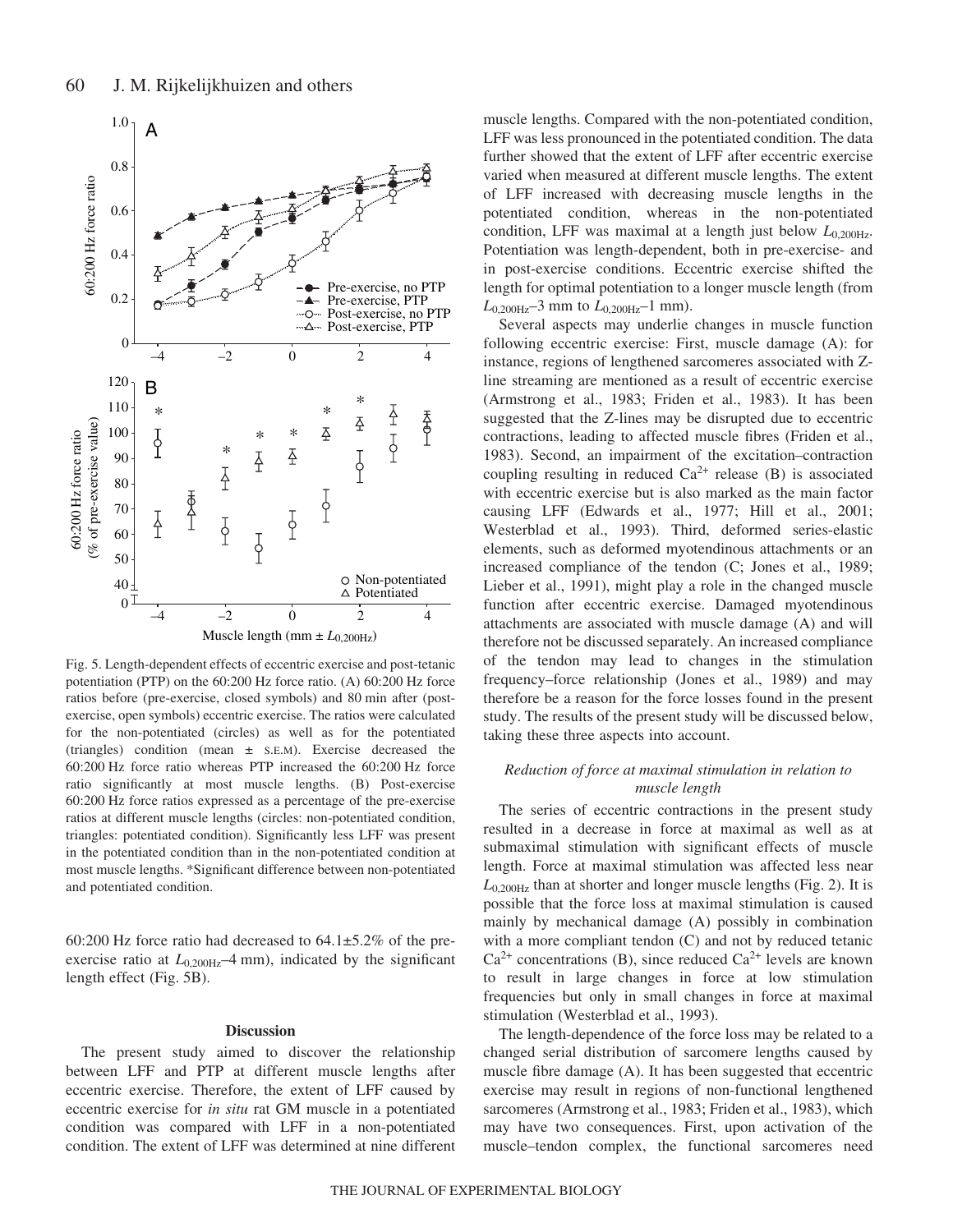

Fig. 5. Length-dependent effects of eccentric exercise and post-tetanic potentiation (PTP) on the  $60:200$  Hz force ratio. (A)  $60:200$  Hz force ratios before (pre-exercise, closed symbols) and 80 min after (postexercise, open symbols) eccentric exercise. The ratios were calculated for the non-potentiated (circles) as well as for the potentiated (triangles) condition (mean ± S.E.M). Exercise decreased the 60:200 Hz force ratio whereas PTP increased the 60:200 Hz force ratio significantly at most muscle lengths. (B) Post-exercise 60:200 Hz force ratios expressed as a percentage of the pre-exercise ratios at different muscle lengths (circles: non-potentiated condition, triangles: potentiated condition). Significantly less LFF was present in the potentiated condition than in the non-potentiated condition at most muscle lengths. \*Significant difference between non-potentiated and potentiated condition.

60:200 Hz force ratio had decreased to  $64.1 \pm 5.2\%$  of the preexercise ratio at  $L_{0.200\text{Hz}}$ –4 mm), indicated by the significant length effect (Fig. 5B).

### **Discussion**

The present study aimed to discover the relationship between LFF and PTP at different muscle lengths after eccentric exercise. Therefore, the extent of LFF caused by eccentric exercise for *in situ* rat GM muscle in a potentiated condition was compared with LFF in a non-potentiated condition. The extent of LFF was determined at nine different

muscle lengths. Compared with the non-potentiated condition, LFF was less pronounced in the potentiated condition. The data further showed that the extent of LFF after eccentric exercise varied when measured at different muscle lengths. The extent of LFF increased with decreasing muscle lengths in the potentiated condition, whereas in the non-potentiated condition, LFF was maximal at a length just below  $L_{0.200\text{Hz}}$ . Potentiation was length-dependent, both in pre-exercise- and in post-exercise conditions. Eccentric exercise shifted the length for optimal potentiation to a longer muscle length (from  $L_{0,200\text{Hz}}$ –3 mm to  $L_{0,200\text{Hz}}$ –1 mm).

Several aspects may underlie changes in muscle function following eccentric exercise: First, muscle damage (A): for instance, regions of lengthened sarcomeres associated with Zline streaming are mentioned as a result of eccentric exercise (Armstrong et al., 1983; Friden et al., 1983). It has been suggested that the Z-lines may be disrupted due to eccentric contractions, leading to affected muscle fibres (Friden et al., 1983). Second, an impairment of the excitation–contraction coupling resulting in reduced  $Ca^{2+}$  release (B) is associated with eccentric exercise but is also marked as the main factor causing LFF (Edwards et al., 1977; Hill et al., 2001; Westerblad et al., 1993). Third, deformed series-elastic elements, such as deformed myotendinous attachments or an increased compliance of the tendon (C; Jones et al., 1989; Lieber et al., 1991), might play a role in the changed muscle function after eccentric exercise. Damaged myotendinous attachments are associated with muscle damage (A) and will therefore not be discussed separately. An increased compliance of the tendon may lead to changes in the stimulation frequency–force relationship (Jones et al., 1989) and may therefore be a reason for the force losses found in the present study. The results of the present study will be discussed below, taking these three aspects into account.

# *Reduction of force at maximal stimulation in relation to muscle length*

The series of eccentric contractions in the present study resulted in a decrease in force at maximal as well as at submaximal stimulation with significant effects of muscle length. Force at maximal stimulation was affected less near  $L_{0,200\text{Hz}}$  than at shorter and longer muscle lengths (Fig. 2). It is possible that the force loss at maximal stimulation is caused mainly by mechanical damage (A) possibly in combination with a more compliant tendon (C) and not by reduced tetanic  $Ca^{2+}$  concentrations (B), since reduced  $Ca^{2+}$  levels are known to result in large changes in force at low stimulation frequencies but only in small changes in force at maximal stimulation (Westerblad et al., 1993).

The length-dependence of the force loss may be related to a changed serial distribution of sarcomere lengths caused by muscle fibre damage (A). It has been suggested that eccentric exercise may result in regions of non-functional lengthened sarcomeres (Armstrong et al., 1983; Friden et al., 1983), which may have two consequences. First, upon activation of the muscle–tendon complex, the functional sarcomeres need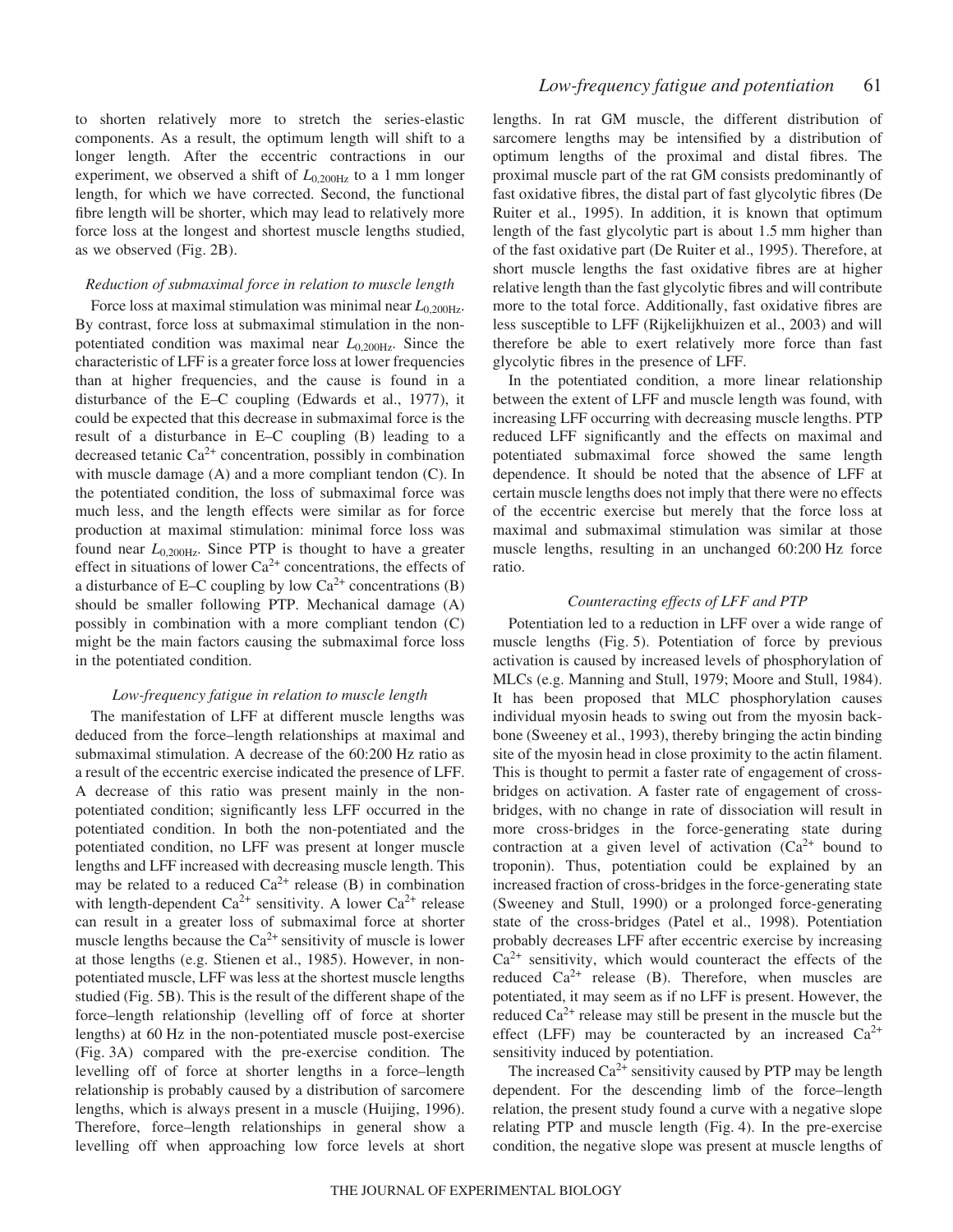to shorten relatively more to stretch the series-elastic components. As a result, the optimum length will shift to a longer length. After the eccentric contractions in our experiment, we observed a shift of  $L_{0,200\text{Hz}}$  to a 1 mm longer length, for which we have corrected. Second, the functional fibre length will be shorter, which may lead to relatively more force loss at the longest and shortest muscle lengths studied, as we observed (Fig. 2B).

### *Reduction of submaximal force in relation to muscle length*

Force loss at maximal stimulation was minimal near  $L_{0.200\text{Hz}}$ . By contrast, force loss at submaximal stimulation in the nonpotentiated condition was maximal near *L*0,200Hz. Since the characteristic of LFF is a greater force loss at lower frequencies than at higher frequencies, and the cause is found in a disturbance of the E–C coupling (Edwards et al., 1977), it could be expected that this decrease in submaximal force is the result of a disturbance in E–C coupling (B) leading to a decreased tetanic  $Ca^{2+}$  concentration, possibly in combination with muscle damage (A) and a more compliant tendon (C). In the potentiated condition, the loss of submaximal force was much less, and the length effects were similar as for force production at maximal stimulation: minimal force loss was found near  $L_{0.200\text{Hz}}$ . Since PTP is thought to have a greater effect in situations of lower  $Ca^{2+}$  concentrations, the effects of a disturbance of E–C coupling by low  $Ca^{2+}$  concentrations (B) should be smaller following PTP. Mechanical damage (A) possibly in combination with a more compliant tendon (C) might be the main factors causing the submaximal force loss in the potentiated condition.

#### *Low-frequency fatigue in relation to muscle length*

The manifestation of LFF at different muscle lengths was deduced from the force–length relationships at maximal and submaximal stimulation. A decrease of the 60:200 Hz ratio as a result of the eccentric exercise indicated the presence of LFF. A decrease of this ratio was present mainly in the nonpotentiated condition; significantly less LFF occurred in the potentiated condition. In both the non-potentiated and the potentiated condition, no LFF was present at longer muscle lengths and LFF increased with decreasing muscle length. This may be related to a reduced  $Ca^{2+}$  release (B) in combination with length-dependent  $Ca^{2+}$  sensitivity. A lower  $Ca^{2+}$  release can result in a greater loss of submaximal force at shorter muscle lengths because the  $Ca^{2+}$  sensitivity of muscle is lower at those lengths (e.g. Stienen et al., 1985). However, in nonpotentiated muscle, LFF was less at the shortest muscle lengths studied (Fig. 5B). This is the result of the different shape of the force–length relationship (levelling off of force at shorter lengths) at 60 Hz in the non-potentiated muscle post-exercise (Fig. 3A) compared with the pre-exercise condition. The levelling off of force at shorter lengths in a force–length relationship is probably caused by a distribution of sarcomere lengths, which is always present in a muscle (Huijing, 1996). Therefore, force–length relationships in general show a levelling off when approaching low force levels at short

lengths. In rat GM muscle, the different distribution of sarcomere lengths may be intensified by a distribution of optimum lengths of the proximal and distal fibres. The proximal muscle part of the rat GM consists predominantly of fast oxidative fibres, the distal part of fast glycolytic fibres (De Ruiter et al., 1995). In addition, it is known that optimum length of the fast glycolytic part is about 1.5 mm higher than of the fast oxidative part (De Ruiter et al., 1995). Therefore, at short muscle lengths the fast oxidative fibres are at higher relative length than the fast glycolytic fibres and will contribute more to the total force. Additionally, fast oxidative fibres are less susceptible to LFF (Rijkelijkhuizen et al., 2003) and will therefore be able to exert relatively more force than fast glycolytic fibres in the presence of LFF.

In the potentiated condition, a more linear relationship between the extent of LFF and muscle length was found, with increasing LFF occurring with decreasing muscle lengths. PTP reduced LFF significantly and the effects on maximal and potentiated submaximal force showed the same length dependence. It should be noted that the absence of LFF at certain muscle lengths does not imply that there were no effects of the eccentric exercise but merely that the force loss at maximal and submaximal stimulation was similar at those muscle lengths, resulting in an unchanged 60:200 Hz force ratio.

# *Counteracting effects of LFF and PTP*

Potentiation led to a reduction in LFF over a wide range of muscle lengths (Fig. 5). Potentiation of force by previous activation is caused by increased levels of phosphorylation of MLCs (e.g. Manning and Stull, 1979; Moore and Stull, 1984). It has been proposed that MLC phosphorylation causes individual myosin heads to swing out from the myosin backbone (Sweeney et al., 1993), thereby bringing the actin binding site of the myosin head in close proximity to the actin filament. This is thought to permit a faster rate of engagement of crossbridges on activation. A faster rate of engagement of crossbridges, with no change in rate of dissociation will result in more cross-bridges in the force-generating state during contraction at a given level of activation  $(Ca^{2+}$  bound to troponin). Thus, potentiation could be explained by an increased fraction of cross-bridges in the force-generating state (Sweeney and Stull, 1990) or a prolonged force-generating state of the cross-bridges (Patel et al., 1998). Potentiation probably decreases LFF after eccentric exercise by increasing  $Ca<sup>2+</sup>$  sensitivity, which would counteract the effects of the reduced  $Ca^{2+}$  release (B). Therefore, when muscles are potentiated, it may seem as if no LFF is present. However, the reduced  $Ca^{2+}$  release may still be present in the muscle but the effect (LFF) may be counteracted by an increased  $Ca^{2+}$ sensitivity induced by potentiation.

The increased  $Ca^{2+}$  sensitivity caused by PTP may be length dependent. For the descending limb of the force–length relation, the present study found a curve with a negative slope relating PTP and muscle length (Fig. 4). In the pre-exercise condition, the negative slope was present at muscle lengths of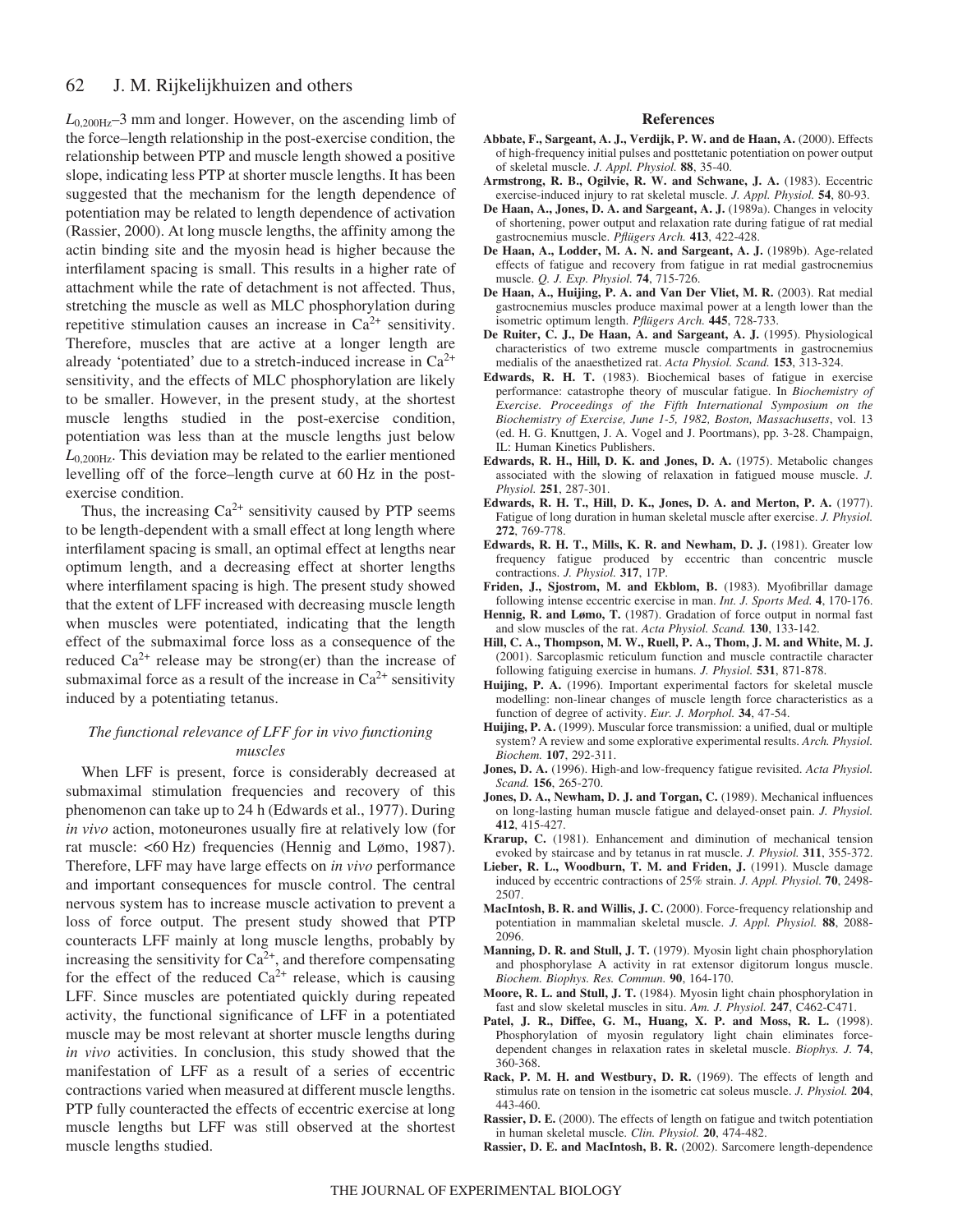#### 62 J. M. Rijkelijkhuizen and others

 $L_{0,200\text{Hz}}$ –3 mm and longer. However, on the ascending limb of the force–length relationship in the post-exercise condition, the relationship between PTP and muscle length showed a positive slope, indicating less PTP at shorter muscle lengths. It has been suggested that the mechanism for the length dependence of potentiation may be related to length dependence of activation (Rassier, 2000). At long muscle lengths, the affinity among the actin binding site and the myosin head is higher because the interfilament spacing is small. This results in a higher rate of attachment while the rate of detachment is not affected. Thus, stretching the muscle as well as MLC phosphorylation during repetitive stimulation causes an increase in  $Ca^{2+}$  sensitivity. Therefore, muscles that are active at a longer length are already 'potentiated' due to a stretch-induced increase in  $Ca^{2+}$ sensitivity, and the effects of MLC phosphorylation are likely to be smaller. However, in the present study, at the shortest muscle lengths studied in the post-exercise condition, potentiation was less than at the muscle lengths just below  $L_{0.200\text{Hz}}$ . This deviation may be related to the earlier mentioned levelling off of the force–length curve at 60 Hz in the postexercise condition.

Thus, the increasing  $Ca^{2+}$  sensitivity caused by PTP seems to be length-dependent with a small effect at long length where interfilament spacing is small, an optimal effect at lengths near optimum length, and a decreasing effect at shorter lengths where interfilament spacing is high. The present study showed that the extent of LFF increased with decreasing muscle length when muscles were potentiated, indicating that the length effect of the submaximal force loss as a consequence of the reduced  $Ca^{2+}$  release may be strong(er) than the increase of submaximal force as a result of the increase in  $Ca^{2+}$  sensitivity induced by a potentiating tetanus.

# *The functional relevance of LFF for in vivo functioning muscles*

When LFF is present, force is considerably decreased at submaximal stimulation frequencies and recovery of this phenomenon can take up to 24 h (Edwards et al., 1977). During *in vivo* action, motoneurones usually fire at relatively low (for rat muscle: <60 Hz) frequencies (Hennig and Lømo, 1987). Therefore, LFF may have large effects on *in vivo* performance and important consequences for muscle control. The central nervous system has to increase muscle activation to prevent a loss of force output. The present study showed that PTP counteracts LFF mainly at long muscle lengths, probably by increasing the sensitivity for  $Ca^{2+}$ , and therefore compensating for the effect of the reduced  $Ca^{2+}$  release, which is causing LFF. Since muscles are potentiated quickly during repeated activity, the functional significance of LFF in a potentiated muscle may be most relevant at shorter muscle lengths during *in vivo* activities. In conclusion, this study showed that the manifestation of LFF as a result of a series of eccentric contractions varied when measured at different muscle lengths. PTP fully counteracted the effects of eccentric exercise at long muscle lengths but LFF was still observed at the shortest muscle lengths studied.

#### **References**

- **Abbate, F., Sargeant, A. J., Verdijk, P. W. and de Haan, A.** (2000). Effects of high-frequency initial pulses and posttetanic potentiation on power output of skeletal muscle. *J. Appl. Physiol.* **88**, 35-40.
- **Armstrong, R. B., Ogilvie, R. W. and Schwane, J. A.** (1983). Eccentric exercise-induced injury to rat skeletal muscle. *J. Appl. Physiol.* **54**, 80-93.
- **De Haan, A., Jones, D. A. and Sargeant, A. J.** (1989a). Changes in velocity of shortening, power output and relaxation rate during fatigue of rat medial gastrocnemius muscle. *Pflügers Arch.* **413**, 422-428.
- **De Haan, A., Lodder, M. A. N. and Sargeant, A. J.** (1989b). Age-related effects of fatigue and recovery from fatigue in rat medial gastrocnemius muscle. *Q. J. Exp. Physiol.* **74**, 715-726.
- **De Haan, A., Huijing, P. A. and Van Der Vliet, M. R.** (2003). Rat medial gastrocnemius muscles produce maximal power at a length lower than the isometric optimum length. *Pflügers Arch.* **445**, 728-733.
- **De Ruiter, C. J., De Haan, A. and Sargeant, A. J.** (1995). Physiological characteristics of two extreme muscle compartments in gastrocnemius medialis of the anaesthetized rat. *Acta Physiol. Scand.* **153**, 313-324.
- **Edwards, R. H. T.** (1983). Biochemical bases of fatigue in exercise performance: catastrophe theory of muscular fatigue. In *Biochemistry of Exercise. Proceedings of the Fifth International Symposium on the Biochemistry of Exercise, June 1-5, 1982, Boston, Massachusetts*, vol. 13 (ed. H. G. Knuttgen, J. A. Vogel and J. Poortmans), pp. 3-28. Champaign, IL: Human Kinetics Publishers.
- **Edwards, R. H., Hill, D. K. and Jones, D. A.** (1975). Metabolic changes associated with the slowing of relaxation in fatigued mouse muscle. *J. Physiol.* **251**, 287-301.
- **Edwards, R. H. T., Hill, D. K., Jones, D. A. and Merton, P. A.** (1977). Fatigue of long duration in human skeletal muscle after exercise. *J. Physiol.* **272**, 769-778.
- **Edwards, R. H. T., Mills, K. R. and Newham, D. J.** (1981). Greater low frequency fatigue produced by eccentric than concentric muscle contractions. *J. Physiol.* **317**, 17P.
- **Friden, J., Sjostrom, M. and Ekblom, B.** (1983). Myofibrillar damage following intense eccentric exercise in man. *Int. J. Sports Med.* **4**, 170-176.
- **Hennig, R. and Lømo, T.** (1987). Gradation of force output in normal fast and slow muscles of the rat. *Acta Physiol. Scand.* **130**, 133-142.
- **Hill, C. A., Thompson, M. W., Ruell, P. A., Thom, J. M. and White, M. J.** (2001). Sarcoplasmic reticulum function and muscle contractile character following fatiguing exercise in humans. *J. Physiol.* **531**, 871-878.
- **Huijing, P. A.** (1996). Important experimental factors for skeletal muscle modelling: non-linear changes of muscle length force characteristics as a function of degree of activity. *Eur. J. Morphol.* **34**, 47-54.
- **Huijing, P. A.** (1999). Muscular force transmission: a unified, dual or multiple system? A review and some explorative experimental results. *Arch. Physiol. Biochem.* **107**, 292-311.
- **Jones, D. A.** (1996). High-and low-frequency fatigue revisited. *Acta Physiol. Scand.* **156**, 265-270.
- **Jones, D. A., Newham, D. J. and Torgan, C.** (1989). Mechanical influences on long-lasting human muscle fatigue and delayed-onset pain. *J. Physiol.* **412**, 415-427.
- **Krarup, C.** (1981). Enhancement and diminution of mechanical tension evoked by staircase and by tetanus in rat muscle. *J. Physiol.* **311**, 355-372.
- **Lieber, R. L., Woodburn, T. M. and Friden, J.** (1991). Muscle damage induced by eccentric contractions of 25% strain. *J. Appl. Physiol.* **70**, 2498- 2507.
- **MacIntosh, B. R. and Willis, J. C.** (2000). Force-frequency relationship and potentiation in mammalian skeletal muscle. *J. Appl. Physiol.* **88**, 2088- 2096.
- **Manning, D. R. and Stull, J. T.** (1979). Myosin light chain phosphorylation and phosphorylase A activity in rat extensor digitorum longus muscle. *Biochem. Biophys. Res. Commun.* **90**, 164-170.
- **Moore, R. L. and Stull, J. T.** (1984). Myosin light chain phosphorylation in fast and slow skeletal muscles in situ. *Am. J. Physiol.* **247**, C462-C471.
- **Patel, J. R., Diffee, G. M., Huang, X. P. and Moss, R. L.** (1998). Phosphorylation of myosin regulatory light chain eliminates forcedependent changes in relaxation rates in skeletal muscle. *Biophys. J.* **74**, 360-368.
- **Rack, P. M. H. and Westbury, D. R.** (1969). The effects of length and stimulus rate on tension in the isometric cat soleus muscle. *J. Physiol.* **204**, 443-460.
- **Rassier, D. E.** (2000). The effects of length on fatigue and twitch potentiation in human skeletal muscle. *Clin. Physiol.* **20**, 474-482.
- **Rassier, D. E. and MacIntosh, B. R.** (2002). Sarcomere length-dependence